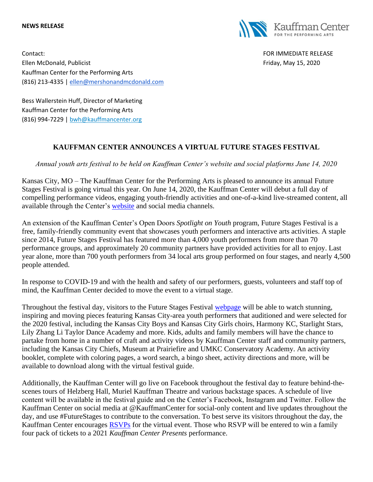## **NEWS RELEASE**



Contact: FOR IMMEDIATE RELEASE Ellen McDonald, Publicist Friday, May 15, 2020 Kauffman Center for the Performing Arts (816) 213-4335 | [ellen@mershonandmcdonald.com](mailto:ellen@mershonandmcdonald.com)

Bess Wallerstein Huff, Director of Marketing Kauffman Center for the Performing Arts (816) 994-7229 | [bwh@kauffmancenter.org](mailto:bwh@kauffmancenter.org)

## **KAUFFMAN CENTER ANNOUNCES A VIRTUAL FUTURE STAGES FESTIVAL**

*Annual youth arts festival to be held on Kauffman Center's website and social platforms June 14, 2020*

Kansas City, MO – The Kauffman Center for the Performing Arts is pleased to announce its annual Future Stages Festival is going virtual this year. On June 14, 2020, the Kauffman Center will debut a full day of compelling performance videos, engaging youth-friendly activities and one-of-a-kind live-streamed content, all available through the Center's [website](http://email.wordfly.com/click?sid=MTc4XzEyNjYxXzEzMTExXzY5NjQ&l=e2356c53-0996-ea11-bd94-e61f134a8c87&utm_source=wordfly&utm_medium=email&utm_campaign=Release%3AFSFVirtualFutureStagesFestival&utm_content=version_A&sourceNumber=) and social media channels.

An extension of the Kauffman Center's Open Doors *Spotlight on Youth* program, Future Stages Festival is a free, family-friendly community event that showcases youth performers and interactive arts activities. A staple since 2014, Future Stages Festival has featured more than 4,000 youth performers from more than 70 performance groups, and approximately 20 community partners have provided activities for all to enjoy. Last year alone, more than 700 youth performers from 34 local arts group performed on four stages, and nearly 4,500 people attended.

In response to COVID-19 and with the health and safety of our performers, guests, volunteers and staff top of mind, the Kauffman Center decided to move the event to a virtual stage.

Throughout the festival day, visitors to the Future Stages Festival [webpage](http://email.wordfly.com/click?sid=MTc4XzEyNjYxXzEzMTExXzY5NjQ&l=e2356c53-0996-ea11-bd94-e61f134a8c87&utm_source=wordfly&utm_medium=email&utm_campaign=Release%3AFSFVirtualFutureStagesFestival&utm_content=version_A&sourceNumber=) will be able to watch stunning, inspiring and moving pieces featuring Kansas City-area youth performers that auditioned and were selected for the 2020 festival, including the Kansas City Boys and Kansas City Girls choirs, Harmony KC, Starlight Stars, Lily Zhang Li Taylor Dance Academy and more. Kids, adults and family members will have the chance to partake from home in a number of craft and activity videos by Kauffman Center staff and community partners, including the Kansas City Chiefs, Museum at Prairiefire and UMKC Conservatory Academy. An activity booklet, complete with coloring pages, a word search, a bingo sheet, activity directions and more, will be available to download along with the virtual festival guide.

Additionally, the Kauffman Center will go live on Facebook throughout the festival day to feature behind-thescenes tours of Helzberg Hall, Muriel Kauffman Theatre and various backstage spaces. A schedule of live content will be available in the festival guide and on the Center's Facebook, Instagram and Twitter. Follow the Kauffman Center on social media at @KauffmanCenter for social-only content and live updates throughout the day, and use #FutureStages to contribute to the conversation. To best serve its visitors throughout the day, the Kauffman Center encourages [RSVPs](http://email.wordfly.com/click?sid=MTc4XzEyNjYxXzEzMTExXzY5NjQ&l=e3356c53-0996-ea11-bd94-e61f134a8c87&utm_source=wordfly&utm_medium=email&utm_campaign=Release%3AFSFVirtualFutureStagesFestival&utm_content=version_A&sourceNumber=) for the virtual event. Those who RSVP will be entered to win a family four pack of tickets to a 2021 *Kauffman Center Presents* performance.